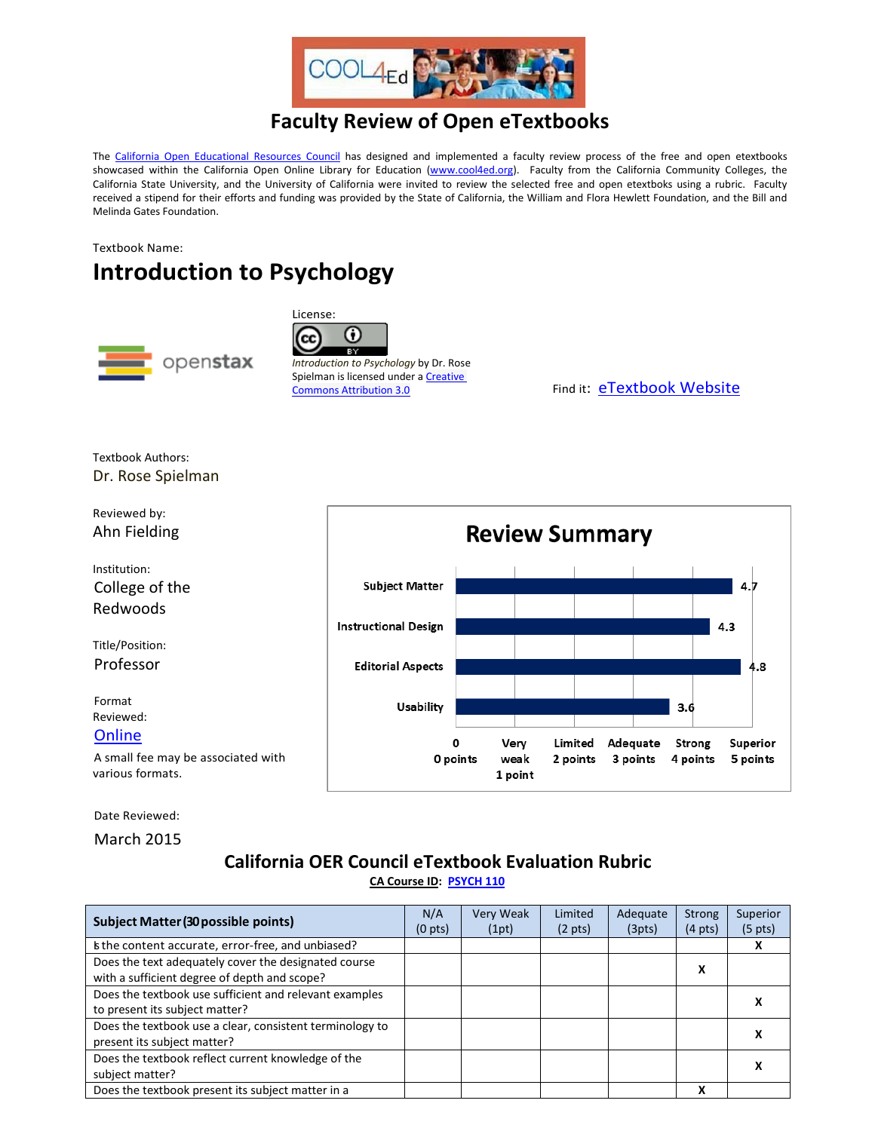

## **Faculty Review of Open eTextbooks**

The [California Open Educational Resources Council](http://icas-ca.org/coerc) has designed and implemented a faculty review process of the free and open etextbooks showcased within the California Open Online Library for Education [\(www.cool4ed.org\)](http://www.cool4ed.org/). Faculty from the California Community Colleges, the California State University, and the University of California were invited to review the selected free and open etextboks using a rubric. Faculty received a stipend for their efforts and funding was provided by the State of California, the William and Flora Hewlett Foundation, and the Bill and Melinda Gates Foundation.

Textbook Name:

## **Introduction to Psychology**



License: ω  $\overline{\mathbf{B}^{\vee}}$ 

*Introduction to Psychology* by Dr. Rose Spielman is licensed under a Creative

Commons [Attribution 3.0](http://creativecommons.org/licenses/by/3.0/deed.en_US) Find it: [eTextbook Website](http://openstaxcollege.org/textbooks/psychology)

Textbook Authors: Dr. Rose Spielman



Date Reviewed:

March 2015

## **California OER Council eTextbook Evaluation Rubric [CA Course ID:](https://c-id.net/about.html) [PSYCH 110](https://c-id.net/descriptor_details.html?descriptor=256&submitbtn=Go)**

| <b>Subject Matter (30 possible points)</b>               |  | Very Weak | Limited           | Adequate | <b>Strong</b>     | Superior          |
|----------------------------------------------------------|--|-----------|-------------------|----------|-------------------|-------------------|
|                                                          |  | (1pt)     | $(2 \text{ pts})$ | (3pts)   | $(4 \text{ pts})$ | $(5 \text{ pts})$ |
| Is the content accurate, error-free, and unbiased?       |  |           |                   |          |                   |                   |
| Does the text adequately cover the designated course     |  |           |                   |          | х                 |                   |
| with a sufficient degree of depth and scope?             |  |           |                   |          |                   |                   |
| Does the textbook use sufficient and relevant examples   |  |           |                   |          |                   |                   |
| to present its subject matter?                           |  |           |                   |          |                   | л                 |
| Does the textbook use a clear, consistent terminology to |  |           |                   |          |                   |                   |
| present its subject matter?                              |  |           |                   |          |                   |                   |
| Does the textbook reflect current knowledge of the       |  |           |                   |          |                   |                   |
| subject matter?                                          |  |           |                   |          |                   |                   |
| Does the textbook present its subject matter in a        |  |           |                   |          | x                 |                   |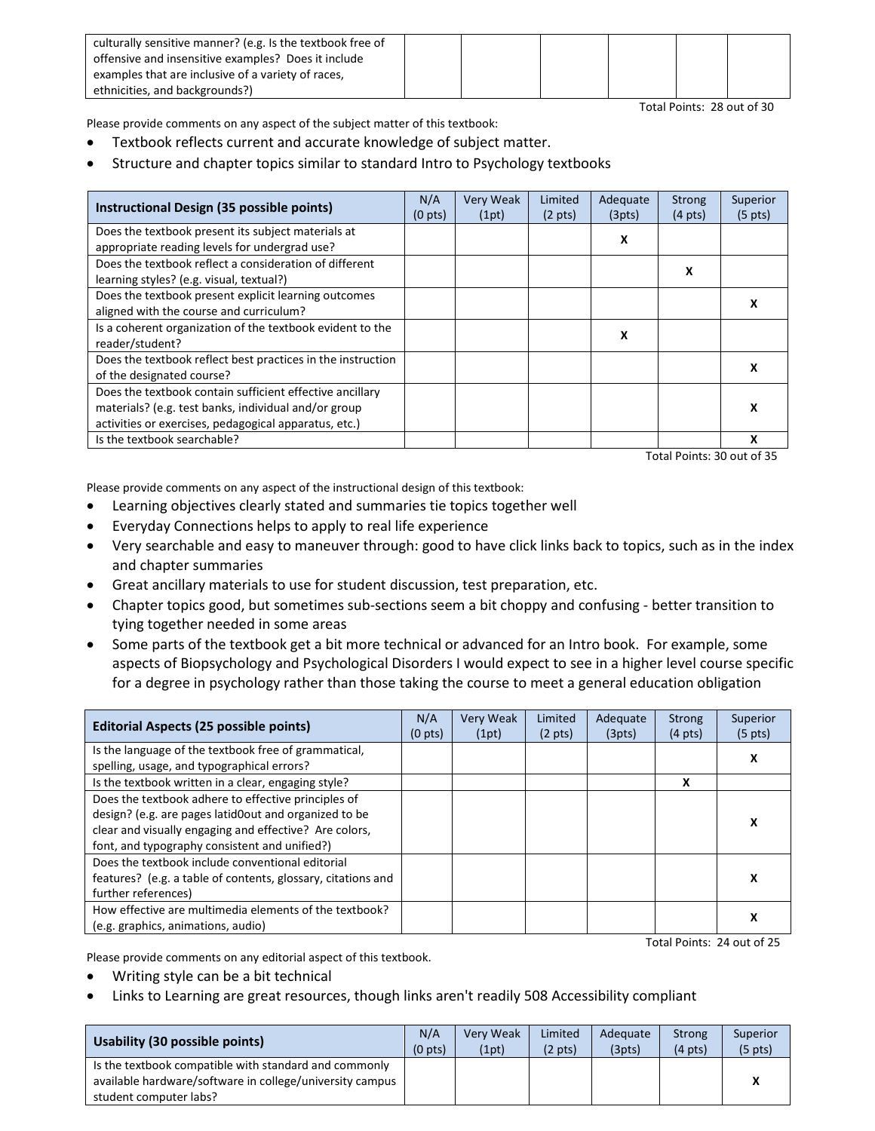| culturally sensitive manner? (e.g. Is the textbook free of |  |  |  |
|------------------------------------------------------------|--|--|--|
| offensive and insensitive examples? Does it include        |  |  |  |
| examples that are inclusive of a variety of races,         |  |  |  |
| ethnicities, and backgrounds?)                             |  |  |  |

Total Points: 28 out of 30

Please provide comments on any aspect of the subject matter of this textbook:

- Textbook reflects current and accurate knowledge of subject matter.
- Structure and chapter topics similar to standard Intro to Psychology textbooks

| Instructional Design (35 possible points)                   | N/A<br>$(0 \text{ pts})$ | <b>Very Weak</b><br>(1pt) | Limited<br>$(2 \text{ pts})$ | Adequate<br>(3pts) | <b>Strong</b><br>$(4 \text{ pts})$ | Superior<br>$(5 \text{ pts})$ |
|-------------------------------------------------------------|--------------------------|---------------------------|------------------------------|--------------------|------------------------------------|-------------------------------|
| Does the textbook present its subject materials at          |                          |                           |                              | x                  |                                    |                               |
| appropriate reading levels for undergrad use?               |                          |                           |                              |                    |                                    |                               |
| Does the textbook reflect a consideration of different      |                          |                           |                              |                    |                                    |                               |
| learning styles? (e.g. visual, textual?)                    |                          |                           |                              |                    | х                                  |                               |
| Does the textbook present explicit learning outcomes        |                          |                           |                              |                    |                                    |                               |
| aligned with the course and curriculum?                     |                          |                           |                              |                    |                                    |                               |
| Is a coherent organization of the textbook evident to the   |                          |                           |                              | X                  |                                    |                               |
| reader/student?                                             |                          |                           |                              |                    |                                    |                               |
| Does the textbook reflect best practices in the instruction |                          |                           |                              |                    |                                    |                               |
| of the designated course?                                   |                          |                           |                              |                    |                                    |                               |
| Does the textbook contain sufficient effective ancillary    |                          |                           |                              |                    |                                    |                               |
| materials? (e.g. test banks, individual and/or group        |                          |                           |                              |                    |                                    | x                             |
| activities or exercises, pedagogical apparatus, etc.)       |                          |                           |                              |                    |                                    |                               |
| Is the textbook searchable?                                 |                          |                           |                              |                    |                                    |                               |

Total Points: 30 out of 35

Please provide comments on any aspect of the instructional design of this textbook:

- Learning objectives clearly stated and summaries tie topics together well
- Everyday Connections helps to apply to real life experience
- Very searchable and easy to maneuver through: good to have click links back to topics, such as in the index and chapter summaries
- Great ancillary materials to use for student discussion, test preparation, etc.
- Chapter topics good, but sometimes sub-sections seem a bit choppy and confusing better transition to tying together needed in some areas
- Some parts of the textbook get a bit more technical or advanced for an Intro book. For example, some aspects of Biopsychology and Psychological Disorders I would expect to see in a higher level course specific for a degree in psychology rather than those taking the course to meet a general education obligation

| <b>Editorial Aspects (25 possible points)</b>                | N/A<br>(0 <sub>pts</sub> ) | <b>Very Weak</b><br>(1pt) | Limited<br>$(2 \text{ pts})$ | Adequate<br>(3pts) | <b>Strong</b><br>$(4 \text{ pts})$ | Superior<br>$(5 \text{ pts})$ |
|--------------------------------------------------------------|----------------------------|---------------------------|------------------------------|--------------------|------------------------------------|-------------------------------|
| Is the language of the textbook free of grammatical,         |                            |                           |                              |                    |                                    | х                             |
| spelling, usage, and typographical errors?                   |                            |                           |                              |                    |                                    |                               |
| Is the textbook written in a clear, engaging style?          |                            |                           |                              |                    | x                                  |                               |
| Does the textbook adhere to effective principles of          |                            |                           |                              |                    |                                    |                               |
| design? (e.g. are pages latid0out and organized to be        |                            |                           |                              |                    |                                    | x                             |
| clear and visually engaging and effective? Are colors,       |                            |                           |                              |                    |                                    |                               |
| font, and typography consistent and unified?)                |                            |                           |                              |                    |                                    |                               |
| Does the textbook include conventional editorial             |                            |                           |                              |                    |                                    |                               |
| features? (e.g. a table of contents, glossary, citations and |                            |                           |                              |                    |                                    | х                             |
| further references)                                          |                            |                           |                              |                    |                                    |                               |
| How effective are multimedia elements of the textbook?       |                            |                           |                              |                    |                                    | х                             |
| (e.g. graphics, animations, audio)                           |                            |                           |                              |                    |                                    |                               |

Total Points: 24 out of 25

Please provide comments on any editorial aspect of this textbook.

- Writing style can be a bit technical
- Links to Learning are great resources, though links aren't readily 508 Accessibility compliant

| Usability (30 possible points)                           | N/A<br>(0 <sub>pts</sub> ) | Verv Weak<br>(1pt) | Limited<br>$(2 \text{ pts})$ | Adequate<br>(3pts) | <b>Strong</b><br>$(4 \text{ pts})$ | Superior<br>$(5 \text{ pts})$ |
|----------------------------------------------------------|----------------------------|--------------------|------------------------------|--------------------|------------------------------------|-------------------------------|
| Is the textbook compatible with standard and commonly    |                            |                    |                              |                    |                                    |                               |
| available hardware/software in college/university campus |                            |                    |                              |                    |                                    |                               |
| student computer labs?                                   |                            |                    |                              |                    |                                    |                               |